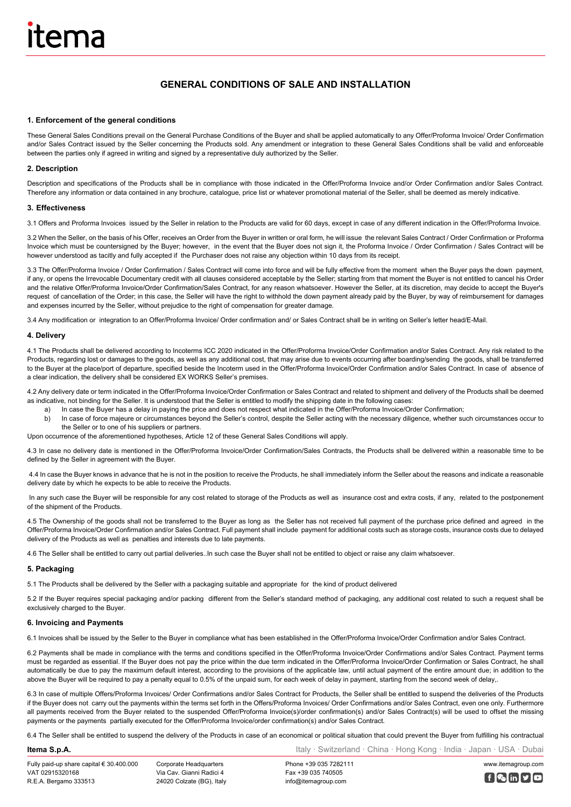# **GENERAL CONDITIONS OF SALE AND INSTALLATION**

# **1. Enforcement of the general conditions**

These General Sales Conditions prevail on the General Purchase Conditions of the Buyer and shall be applied automatically to any Offer/Proforma Invoice/ Order Confirmation and/or Sales Contract issued by the Seller concerning the Products sold. Any amendment or integration to these General Sales Conditions shall be valid and enforceable between the parties only if agreed in writing and signed by a representative duly authorized by the Seller.

# **2. Description**

Description and specifications of the Products shall be in compliance with those indicated in the Offer/Proforma Invoice and/or Order Confirmation and/or Sales Contract. Therefore any information or data contained in any brochure, catalogue, price list or whatever promotional material of the Seller, shall be deemed as merely indicative.

# **3. Effectiveness**

3.1 Offers and Proforma Invoices issued by the Seller in relation to the Products are valid for 60 days, except in case of any different indication in the Offer/Proforma Invoice.

3.2 When the Seller, on the basis of his Offer, receives an Order from the Buyer in written or oral form, he will issue the relevant Sales Contract / Order Confirmation or Proforma Invoice which must be countersigned by the Buyer; however, in the event that the Buyer does not sign it, the Proforma Invoice / Order Confirmation / Sales Contract will be however understood as tacitly and fully accepted if the Purchaser does not raise any objection within 10 days from its receipt.

3.3 The Offer/Proforma Invoice / Order Confirmation / Sales Contract will come into force and will be fully effective from the moment when the Buyer pays the down payment. if any, or opens the Irrevocable Documentary credit with all clauses considered acceptable by the Seller; starting from that moment the Buyer is not entitled to cancel his Order and the relative Offer/Proforma Invoice/Order Confirmation/Sales Contract, for any reason whatsoever. However the Seller, at its discretion, may decide to accept the Buyer's request of cancellation of the Order; in this case, the Seller will have the right to withhold the down payment already paid by the Buyer, by way of reimbursement for damages and expenses incurred by the Seller, without prejudice to the right of compensation for greater damage.

3.4 Any modification or integration to an Offer/Proforma Invoice/ Order confirmation and/ or Sales Contract shall be in writing on Seller's letter head/E-Mail.

#### **4. Delivery**

4.1 The Products shall be delivered according to Incoterms ICC 2020 indicated in the Offer/Proforma Invoice/Order Confirmation and/or Sales Contract. Any risk related to the Products, regarding lost or damages to the goods, as well as any additional cost, that may arise due to events occurring after boarding/sending the goods, shall be transferred to the Buyer at the place/port of departure, specified beside the Incoterm used in the Offer/Proforma Invoice/Order Confirmation and/or Sales Contract. In case of absence of a clear indication, the delivery shall be considered EX WORKS Seller's premises.

4.2 Any delivery date or term indicated in the Offer/Proforma Invoice/Order Confirmation or Sales Contract and related to shipment and delivery of the Products shall be deemed as indicative, not binding for the Seller. It is understood that the Seller is entitled to modify the shipping date in the following cases:

- a) In case the Buyer has a delay in paying the price and does not respect what indicated in the Offer/Proforma Invoice/Order Confirmation;
- b) In case of force majeure or circumstances beyond the Seller's control, despite the Seller acting with the necessary diligence, whether such circumstances occur to the Seller or to one of his suppliers or partners.

Upon occurrence of the aforementioned hypotheses, Article 12 of these General Sales Conditions will apply.

4.3 In case no delivery date is mentioned in the Offer/Proforma Invoice/Order Confirmation/Sales Contracts, the Products shall be delivered within a reasonable time to be defined by the Seller in agreement with the Buyer.

4.4 In case the Buyer knows in advance that he is not in the position to receive the Products, he shall immediately inform the Seller about the reasons and indicate a reasonable delivery date by which he expects to be able to receive the Products.

In any such case the Buyer will be responsible for any cost related to storage of the Products as well as insurance cost and extra costs, if any, related to the postponement of the shipment of the Products.

4.5 The Ownership of the goods shall not be transferred to the Buyer as long as the Seller has not received full payment of the purchase price defined and agreed in the Offer/Proforma Invoice/Order Confirmation and/or Sales Contract. Full payment shall include payment for additional costs such as storage costs, insurance costs due to delayed delivery of the Products as well as penalties and interests due to late payments.

4.6 The Seller shall be entitled to carry out partial deliveries..In such case the Buyer shall not be entitled to object or raise any claim whatsoever.

# **5. Packaging**

5.1 The Products shall be delivered by the Seller with a packaging suitable and appropriate for the kind of product delivered

5.2 If the Buyer requires special packaging and/or packing different from the Seller's standard method of packaging, any additional cost related to such a request shall be exclusively charged to the Buyer.

## **6. Invoicing and Payments**

6.1 Invoices shall be issued by the Seller to the Buyer in compliance what has been established in the Offer/Proforma Invoice/Order Confirmation and/or Sales Contract.

6.2 Payments shall be made in compliance with the terms and conditions specified in the Offer/Proforma Invoice/Order Confirmations and/or Sales Contract. Payment terms must be regarded as essential. If the Buyer does not pay the price within the due term indicated in the Offer/Proforma Invoice/Order Confirmation or Sales Contract, he shall automatically be due to pay the maximum default interest, according to the provisions of the applicable law, until actual payment of the entire amount due; in addition to the above the Buyer will be required to pay a penalty equal to 0.5% of the unpaid sum, for each week of delay in payment, starting from the second week of delay,.

6.3 In case of multiple Offers/Proforma Invoices/ Order Confirmations and/or Sales Contract for Products, the Seller shall be entitled to suspend the deliveries of the Products if the Buyer does not carry out the payments within the terms set forth in the Offers/Proforma Invoices/ Order Confirmations and/or Sales Contract, even one only. Furthermore all payments received from the Buyer related to the suspended Offer/Proforma Invoice(s)/order confirmation(s) and/or Sales Contract(s) will be used to offset the missing payments or the payments partially executed for the Offer/Proforma Invoice/order confirmation(s) and/or Sales Contract.

6.4 The Seller shall be entitled to suspend the delivery of the Products in case of an economical or political situation that could prevent the Buyer from fulfilling his contractual

# **Itema S.p.A.** Italy · Switzerland · China · Hong Kong · India · Japan · USA · Dubai

Fully paid-up share capital € 30.400.000 VAT 02915320168 R.E.A. Bergamo 333513

Corporate Headquarters Via Cav. Gianni Radici 4 24020 Colzate (BG), Italy

Phone +39 035 7282111 Fax +39 035 740505 info@itemagroup.com

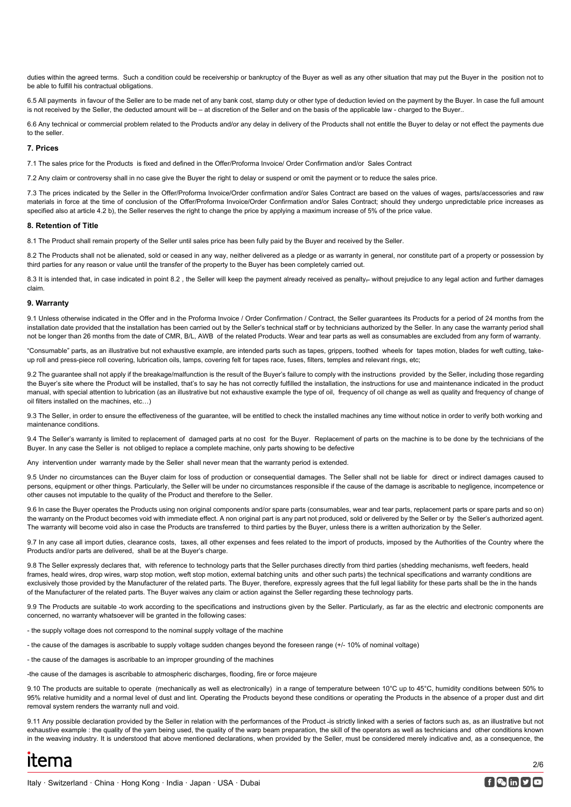duties within the agreed terms. Such a condition could be receivership or bankruptcy of the Buyer as well as any other situation that may put the Buyer in the position not to be able to fulfill his contractual obligations.

6.5 All payments in favour of the Seller are to be made net of any bank cost, stamp duty or other type of deduction levied on the payment by the Buyer. In case the full amount is not received by the Seller, the deducted amount will be – at discretion of the Seller and on the basis of the applicable law - charged to the Buyer..

6.6 Any technical or commercial problem related to the Products and/or any delay in delivery of the Products shall not entitle the Buyer to delay or not effect the payments due to the seller.

# **7. Prices**

7.1 The sales price for the Products is fixed and defined in the Offer/Proforma Invoice/ Order Confirmation and/or Sales Contract

7.2 Any claim or controversy shall in no case give the Buyer the right to delay or suspend or omit the payment or to reduce the sales price.

7.3 The prices indicated by the Seller in the Offer/Proforma Invoice/Order confirmation and/or Sales Contract are based on the values of wages, parts/accessories and raw materials in force at the time of conclusion of the Offer/Proforma Invoice/Order Confirmation and/or Sales Contract; should they undergo unpredictable price increases as specified also at article 4.2 b), the Seller reserves the right to change the price by applying a maximum increase of 5% of the price value.

# **8. Retention of Title**

8.1 The Product shall remain property of the Seller until sales price has been fully paid by the Buyer and received by the Seller.

8.2 The Products shall not be alienated, sold or ceased in any way, neither delivered as a pledge or as warranty in general, nor constitute part of a property or possession by third parties for any reason or value until the transfer of the property to the Buyer has been completely carried out.

8.3 It is intended that, in case indicated in point 8.2, the Seller will keep the payment already received as penalty-without prejudice to any legal action and further damages claim.

#### **9. Warranty**

9.1 Unless otherwise indicated in the Offer and in the Proforma Invoice / Order Confirmation / Contract, the Seller guarantees its Products for a period of 24 months from the installation date provided that the installation has been carried out by the Seller's technical staff or by technicians authorized by the Seller. In any case the warranty period shall not be longer than 26 months from the date of CMR, B/L, AWB of the related Products. Wear and tear parts as well as consumables are excluded from any form of warranty.

"Consumable" parts, as an illustrative but not exhaustive example, are intended parts such as tapes, grippers, toothed wheels for tapes motion, blades for weft cutting, takeup roll and press-piece roll covering, lubrication oils, lamps, covering felt for tapes race, fuses, filters, temples and relevant rings, etc;

9.2 The guarantee shall not apply if the breakage/malfunction is the result of the Buyer's failure to comply with the instructions provided by the Seller, including those regarding the Buyer's site where the Product will be installed, that's to say he has not correctly fulfilled the installation, the instructions for use and maintenance indicated in the product manual, with special attention to lubrication (as an illustrative but not exhaustive example the type of oil, frequency of oil change as well as quality and frequency of change of oil filters installed on the machines, etc…)

9.3 The Seller, in order to ensure the effectiveness of the guarantee, will be entitled to check the installed machines any time without notice in order to verify both working and maintenance conditions.

9.4 The Seller's warranty is limited to replacement of damaged parts at no cost for the Buyer. Replacement of parts on the machine is to be done by the technicians of the Buyer. In any case the Seller is not obliged to replace a complete machine, only parts showing to be defective

Any intervention under warranty made by the Seller shall never mean that the warranty period is extended.

9.5 Under no circumstances can the Buyer claim for loss of production or consequential damages. The Seller shall not be liable for direct or indirect damages caused to persons, equipment or other things. Particularly, the Seller will be under no circumstances responsible if the cause of the damage is ascribable to negligence, incompetence or other causes not imputable to the quality of the Product and therefore to the Seller.

9.6 In case the Buyer operates the Products using non original components and/or spare parts (consumables, wear and tear parts, replacement parts or spare parts and so on) the warranty on the Product becomes void with immediate effect. A non original part is any part not produced, sold or delivered by the Seller or by the Seller's authorized agent. The warranty will become void also in case the Products are transferred to third parties by the Buyer, unless there is a written authorization by the Seller.

9.7 In any case all import duties, clearance costs, taxes, all other expenses and fees related to the import of products, imposed by the Authorities of the Country where the Products and/or parts are delivered, shall be at the Buyer's charge.

9.8 The Seller expressly declares that, with reference to technology parts that the Seller purchases directly from third parties (shedding mechanisms, weft feeders, heald frames, heald wires, drop wires, warp stop motion, weft stop motion, external batching units and other such parts) the technical specifications and warranty conditions are exclusively those provided by the Manufacturer of the related parts. The Buyer, therefore, expressly agrees that the full legal liability for these parts shall be the in the hands of the Manufacturer of the related parts. The Buyer waives any claim or action against the Seller regarding these technology parts.

9.9 The Products are suitable -to work according to the specifications and instructions given by the Seller. Particularly, as far as the electric and electronic components are concerned, no warranty whatsoever will be granted in the following cases:

- the supply voltage does not correspond to the nominal supply voltage of the machine
- the cause of the damages is ascribable to supply voltage sudden changes beyond the foreseen range (+/- 10% of nominal voltage)
- the cause of the damages is ascribable to an improper grounding of the machines

-the cause of the damages is ascribable to atmospheric discharges, flooding, fire or force majeure

9.10 The products are suitable to operate (mechanically as well as electronically) in a range of temperature between 10°C up to 45°C, humidity conditions between 50% to 95% relative humidity and a normal level of dust and lint. Operating the Products beyond these conditions or operating the Products in the absence of a proper dust and dirt removal system renders the warranty null and void.

9.11 Any possible declaration provided by the Seller in relation with the performances of the Product -is strictly linked with a series of factors such as, as an illustrative but not exhaustive example : the quality of the yarn being used, the quality of the warp beam preparation, the skill of the operators as well as technicians and other conditions known in the weaving industry. It is understood that above mentioned declarations, when provided by the Seller, must be considered merely indicative and, as a consequence, the

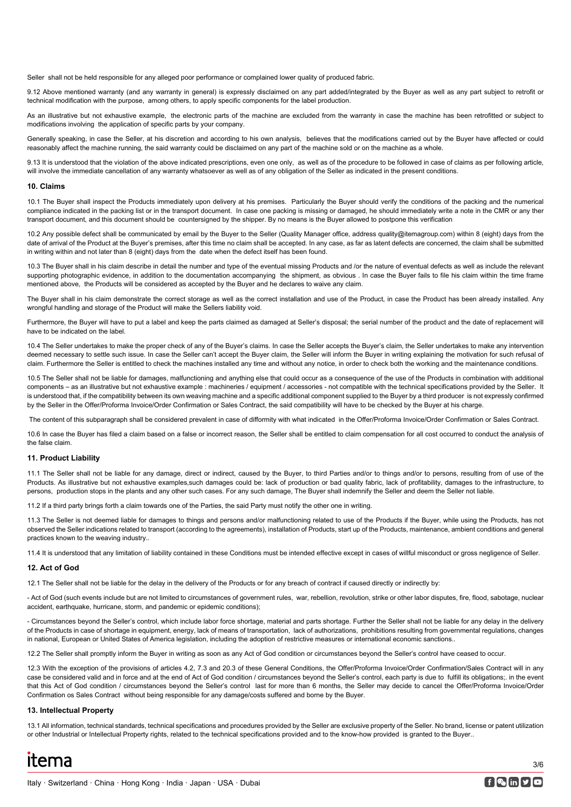Seller shall not be held responsible for any alleged poor performance or complained lower quality of produced fabric.

9.12 Above mentioned warranty (and any warranty in general) is expressly disclaimed on any part added/integrated by the Buyer as well as any part subject to retrofit or technical modification with the purpose, among others, to apply specific components for the label production.

As an illustrative but not exhaustive example, the electronic parts of the machine are excluded from the warranty in case the machine has been retrofitted or subject to modifications involving the application of specific parts by your company.

Generally speaking, in case the Seller, at his discretion and according to his own analysis, believes that the modifications carried out by the Buyer have affected or could reasonably affect the machine running, the said warranty could be disclaimed on any part of the machine sold or on the machine as a whole.

9.13 It is understood that the violation of the above indicated prescriptions, even one only, as well as of the procedure to be followed in case of claims as per following article. will involve the immediate cancellation of any warranty whatsoever as well as of any obligation of the Seller as indicated in the present conditions.

#### **10. Claims**

10.1 The Buyer shall inspect the Products immediately upon delivery at his premises. Particularly the Buyer should verify the conditions of the packing and the numerical compliance indicated in the packing list or in the transport document. In case one packing is missing or damaged, he should immediately write a note in the CMR or any ther transport document, and this document should be countersigned by the shipper. By no means is the Buyer allowed to postpone this verification

10.2 Any possible defect shall be communicated by email by the Buyer to the Seller (Quality Manager office, address quality@itemagroup.com) within 8 (eight) days from the date of arrival of the Product at the Buyer's premises, after this time no claim shall be accepted. In any case, as far as latent defects are concerned, the claim shall be submitted in writing within and not later than 8 (eight) days from the date when the defect itself has been found.

10.3 The Buyer shall in his claim describe in detail the number and type of the eventual missing Products and /or the nature of eventual defects as well as include the relevant supporting photographic evidence, in addition to the documentation accompanying the shipment, as obvious . In case the Buyer fails to file his claim within the time frame mentioned above, the Products will be considered as accepted by the Buyer and he declares to waive any claim.

The Buyer shall in his claim demonstrate the correct storage as well as the correct installation and use of the Product, in case the Product has been already installed. Any wrongful handling and storage of the Product will make the Sellers liability void.

Furthermore, the Buyer will have to put a label and keep the parts claimed as damaged at Seller's disposal; the serial number of the product and the date of replacement will have to be indicated on the label.

10.4 The Seller undertakes to make the proper check of any of the Buyer's claims. In case the Seller accepts the Buyer's claim, the Seller undertakes to make any intervention deemed necessary to settle such issue. In case the Seller can't accept the Buyer claim, the Seller will inform the Buyer in writing explaining the motivation for such refusal of claim. Furthermore the Seller is entitled to check the machines installed any time and without any notice, in order to check both the working and the maintenance conditions.

10.5 The Seller shall not be liable for damages, malfunctioning and anything else that could occur as a consequence of the use of the Products in combination with additional components – as an illustrative but not exhaustive example : machineries / equipment / accessories - not compatible with the technical specifications provided by the Seller. It is understood that, if the compatibility between its own weaving machine and a specific additional component supplied to the Buyer by a third producer is not expressly confirmed by the Seller in the Offer/Proforma Invoice/Order Confirmation or Sales Contract, the said compatibility will have to be checked by the Buyer at his charge.

The content of this subparagraph shall be considered prevalent in case of difformity with what indicated in the Offer/Proforma Invoice/Order Confirmation or Sales Contract.

10.6 In case the Buyer has filed a claim based on a false or incorrect reason, the Seller shall be entitled to claim compensation for all cost occurred to conduct the analysis of the false claim.

# **11. Product Liability**

11.1 The Seller shall not be liable for any damage, direct or indirect, caused by the Buyer, to third Parties and/or to things and/or to persons, resulting from of use of the Products. As illustrative but not exhaustive examples,such damages could be: lack of production or bad quality fabric, lack of profitability, damages to the infrastructure, to persons, production stops in the plants and any other such cases. For any such damage, The Buyer shall indemnify the Seller and deem the Seller not liable.

11.2 If a third party brings forth a claim towards one of the Parties, the said Party must notify the other one in writing.

11.3 The Seller is not deemed liable for damages to things and persons and/or malfunctioning related to use of the Products if the Buyer, while using the Products, has not observed the Seller indications related to transport (according to the agreements), installation of Products, start up of the Products, maintenance, ambient conditions and general practices known to the weaving industry..

11.4 It is understood that any limitation of liability contained in these Conditions must be intended effective except in cases of willful misconduct or gross negligence of Seller.

#### **12. Act of God**

12.1 The Seller shall not be liable for the delay in the delivery of the Products or for any breach of contract if caused directly or indirectly by:

- Act of God (such events include but are not limited to circumstances of government rules, war, rebellion, revolution, strike or other labor disputes, fire, flood, sabotage, nuclear accident, earthquake, hurricane, storm, and pandemic or epidemic conditions);

- Circumstances beyond the Seller's control, which include labor force shortage, material and parts shortage. Further the Seller shall not be liable for any delay in the delivery of the Products in case of shortage in equipment, energy, lack of means of transportation, lack of authorizations, prohibitions resulting from governmental regulations, changes in national, European or United States of America legislation, including the adoption of restrictive measures or international economic sanctions..

12.2 The Seller shall promptly inform the Buyer in writing as soon as any Act of God condition or circumstances beyond the Seller's control have ceased to occur.

12.3 With the exception of the provisions of articles 4.2, 7.3 and 20.3 of these General Conditions, the Offer/Proforma Invoice/Order Confirmation/Sales Contract will in any case be considered valid and in force and at the end of Act of God condition / circumstances beyond the Seller's control, each party is due to fulfill its obligations;. in the event that this Act of God condition / circumstances beyond the Seller's control last for more than 6 months, the Seller may decide to cancel the Offer/Proforma Invoice/Order Confirmation os Sales Contract without being responsible for any damage/costs suffered and borne by the Buyer.

# **13. Intellectual Property**

13.1 All information, technical standards, technical specifications and procedures provided by the Seller are exclusive property of the Seller. No brand, license or patent utilization or other Industrial or Intellectual Property rights, related to the technical specifications provided and to the know-how provided is granted to the Buyer..



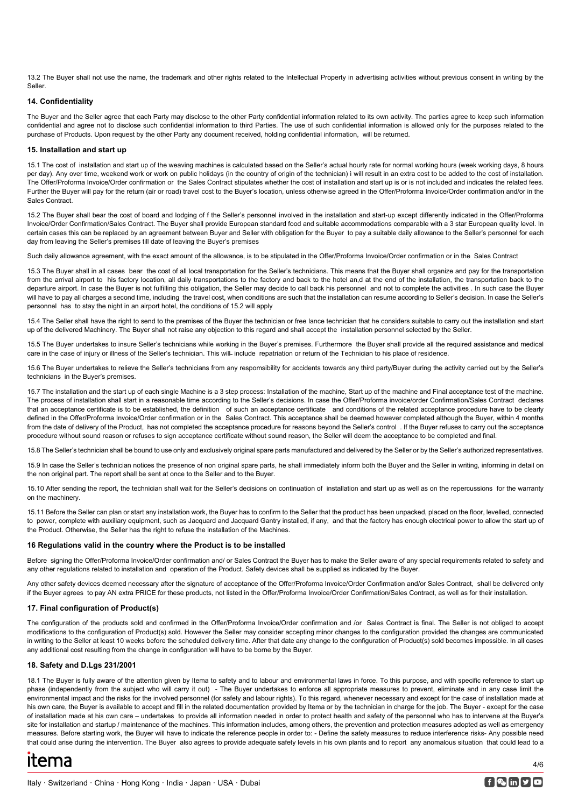13.2 The Buyer shall not use the name, the trademark and other rights related to the Intellectual Property in advertising activities without previous consent in writing by the Seller.

# **14. Confidentiality**

The Buyer and the Seller agree that each Party may disclose to the other Party confidential information related to its own activity. The parties agree to keep such information confidential and agree not to disclose such confidential information to third Parties. The use of such confidential information is allowed only for the purposes related to the purchase of Products. Upon request by the other Party any document received, holding confidential information, will be returned.

## **15. Installation and start up**

15.1 The cost of installation and start up of the weaving machines is calculated based on the Seller's actual hourly rate for normal working hours (week working days, 8 hours per day). Any over time, weekend work or work on public holidays (in the country of origin of the technician) ì will result in an extra cost to be added to the cost of installation. The Offer/Proforma Invoice/Order confirmation or the Sales Contract stipulates whether the cost of installation and start up is or is not included and indicates the related fees. Further the Buyer will pay for the return (air or road) travel cost to the Buyer's location, unless otherwise agreed in the Offer/Proforma Invoice/Order confirmation and/or in the Sales Contract.

15.2 The Buyer shall bear the cost of board and lodging of f the Seller's personnel involved in the installation and start-up except differently indicated in the Offer/Proforma Invoice/Order Confirmation/Sales Contract. The Buyer shall provide European standard food and suitable accommodations comparable with a 3 star European quality level. In certain cases this can be replaced by an agreement between Buyer and Seller with obligation for the Buyer to pay a suitable daily allowance to the Seller's personnel for each day from leaving the Seller's premises till date of leaving the Buyer's premises

Such daily allowance agreement, with the exact amount of the allowance, is to be stipulated in the Offer/Proforma Invoice/Order confirmation or in the Sales Contract

15.3 The Buyer shall in all cases bear the cost of all local transportation for the Seller's technicians. This means that the Buyer shall organize and pay for the transportation from the arrival airport to his factory location, all daily transportations to the factory and back to the hotel an,d at the end of the installation, the transportation back to the departure airport. In case the Buyer is not fulfilling this obligation, the Seller may decide to call back his personnel and not to complete the activities . In such case the Buyer will have to pay all charges a second time, including the travel cost, when conditions are such that the installation can resume according to Seller's decision. In case the Seller's personnel has to stay the night in an airport hotel, the conditions of 15.2 will apply

15.4 The Seller shall have the right to send to the premises of the Buyer the technician or free lance technician that he considers suitable to carry out the installation and start up of the delivered Machinery. The Buyer shall not raise any objection to this regard and shall accept the installation personnel selected by the Seller.

15.5 The Buyer undertakes to insure Seller's technicians while working in the Buyer's premises. Furthermore the Buyer shall provide all the required assistance and medical care in the case of injury or illness of the Seller's technician. This will include repatriation or return of the Technician to his place of residence.

15.6 The Buyer undertakes to relieve the Seller's technicians from any respomsibility for accidents towards any third party/Buyer during the activity carried out by the Seller's technicians in the Buyer's premises.

15.7 The installation and the start up of each single Machine is a 3 step process: Installation of the machine, Start up of the machine and Final acceptance test of the machine. The process of installation shall start in a reasonable time according to the Seller's decisions. In case the Offer/Proforma invoice/order Confirmation/Sales Contract declares that an acceptance certificate is to be established, the definition of such an acceptance certificate and conditions of the related acceptance procedure have to be clearly defined in the Offer/Proforma Invoice/Order confirmation or in the Sales Contract. This acceptance shall be deemed however completed although the Buyer, within 4 months from the date of delivery of the Product, has not completed the acceptance procedure for reasons beyond the Seller's control . If the Buyer refuses to carry out the acceptance procedure without sound reason or refuses to sign acceptance certificate without sound reason, the Seller will deem the acceptance to be completed and final.

15.8 The Seller's technician shall be bound to use only and exclusively original spare parts manufactured and delivered by the Seller or by the Seller's authorized representatives.

15.9 In case the Seller's technician notices the presence of non original spare parts, he shall immediately inform both the Buyer and the Seller in writing, informing in detail on the non original part. The report shall be sent at once to the Seller and to the Buyer.

15.10 After sending the report, the technician shall wait for the Seller's decisions on continuation of installation and start up as well as on the repercussions for the warranty on the machinery.

15.11 Before the Seller can plan or start any installation work, the Buyer has to confirm to the Seller that the product has been unpacked, placed on the floor, levelled, connected to power, complete with auxiliary equipment, such as Jacquard and Jacquard Gantry installed, if any, and that the factory has enough electrical power to allow the start up of the Product. Otherwise, the Seller has the right to refuse the installation of the Machines.

# **16 Regulations valid in the country where the Product is to be installed**

Before signing the Offer/Proforma Invoice/Order confirmation and/ or Sales Contract the Buyer has to make the Seller aware of any special requirements related to safety and any other regulations related to installation and operation of the Product. Safety devices shall be supplied as indicated by the Buyer.

Any other safety devices deemed necessary after the signature of acceptance of the Offer/Proforma Invoice/Order Confirmation and/or Sales Contract, shall be delivered only if the Buyer agrees to pay AN extra PRICE for these products, not listed in the Offer/Proforma Invoice/Order Confirmation/Sales Contract, as well as for their installation.

# **17. Final configuration of Product(s)**

The configuration of the products sold and confirmed in the Offer/Proforma Invoice/Order confirmation and /or Sales Contract is final. The Seller is not obliged to accept modifications to the configuration of Product(s) sold. However the Seller may consider accepting minor changes to the configuration provided the changes are communicated in writing to the Seller at least 10 weeks before the scheduled delivery time. After that date any change to the configuration of Product(s) sold becomes impossible. In all cases any additional cost resulting from the change in configuration will have to be borne by the Buyer.

# **18. Safety and D.Lgs 231/2001**

18.1 The Buyer is fully aware of the attention given by Itema to safety and to labour and environmental laws in force. To this purpose, and with specific reference to start up phase (independently from the subject who will carry it out) - The Buyer undertakes to enforce all appropriate measures to prevent, eliminate and in any case limit the environmental impact and the risks for the involved personnel (for safety and labour rights). To this regard, whenever necessary and except for the case of installation made at his own care, the Buyer is available to accept and fill in the related documentation provided by Itema or by the technician in charge for the job. The Buyer - except for the case of installation made at his own care – undertakes to provide all information needed in order to protect health and safety of the personnel who has to intervene at the Buyer's site for installation and startup / maintenance of the machines. This information includes, among others, the prevention and protection measures adopted as well as emergency measures. Before starting work, the Buyer will have to indicate the reference people in order to: - Define the safety measures to reduce interference risks- Any possible need that could arise during the intervention. The Buyer also agrees to provide adequate safety levels in his own plants and to report any anomalous situation that could lead to a

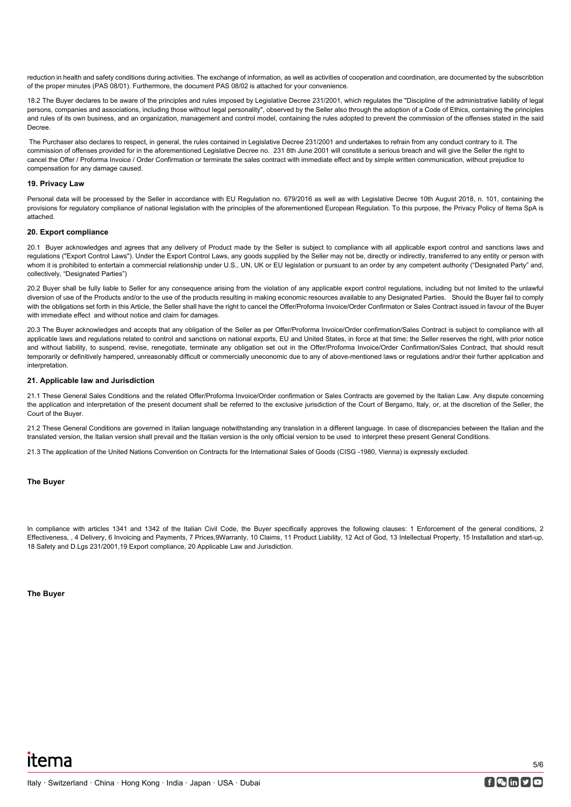reduction in health and safety conditions during activities. The exchange of information, as well as activities of cooperation and coordination, are documented by the subscribtion of the proper minutes (PAS 08/01). Furthermore, the document PAS 08/02 is attached for your convenience.

18.2 The Buyer declares to be aware of the principles and rules imposed by Legislative Decree 231/2001, which regulates the "Discipline of the administrative liability of legal persons, companies and associations, including those without legal personality", observed by the Seller also through the adoption of a Code of Ethics, containing the principles and rules of its own business, and an organization, management and control model, containing the rules adopted to prevent the commission of the offenses stated in the said Decree.

The Purchaser also declares to respect, in general, the rules contained in Legislative Decree 231/2001 and undertakes to refrain from any conduct contrary to it. The commission of offenses provided for in the aforementioned Legislative Decree no. 231 8th June 2001 will constitute a serious breach and will give the Seller the right to cancel the Offer / Proforma Invoice / Order Confirmation or terminate the sales contract with immediate effect and by simple written communication, without prejudice to compensation for any damage caused.

# **19. Privacy Law**

Personal data will be processed by the Seller in accordance with EU Regulation no. 679/2016 as well as with Legislative Decree 10th August 2018, n. 101, containing the provisions for regulatory compliance of national legislation with the principles of the aforementioned European Regulation. To this purpose, the Privacy Policy of Itema SpA is attached.

## **20. Export compliance**

20.1 Buyer acknowledges and agrees that any delivery of Product made by the Seller is subject to compliance with all applicable export control and sanctions laws and regulations ("Export Control Laws"). Under the Export Control Laws, any goods supplied by the Seller may not be, directly or indirectly, transferred to any entity or person with whom it is prohibited to entertain a commercial relationship under U.S., UN, UK or EU legislation or pursuant to an order by any competent authority ("Designated Party" and, collectively, "Designated Parties")

20.2 Buyer shall be fully liable to Seller for any consequence arising from the violation of any applicable export control regulations, including but not limited to the unlawful diversion of use of the Products and/or to the use of the products resulting in making economic resources available to any Designated Parties. Should the Buyer fail to comply with the obligations set forth in this Article, the Seller shall have the right to cancel the Offer/Proforma Invoice/Order Confirmaton or Sales Contract issued in favour of the Buyer with immediate effect and without notice and claim for damages.

20.3 The Buyer acknowledges and accepts that any obligation of the Seller as per Offer/Proforma Invoice/Order confirmation/Sales Contract is subject to compliance with all applicable laws and regulations related to control and sanctions on national exports, EU and United States, in force at that time; the Seller reserves the right, with prior notice and without liability, to suspend, revise, renegotiate, terminate any obligation set out in the Offer/Proforma Invoice/Order Confirmation/Sales Contract, that should result temporarily or definitively hampered, unreasonably difficult or commercially uneconomic due to any of above-mentioned laws or regulations and/or their further application and interpretation.

## **21. Applicable law and Jurisdiction**

21.1 These General Sales Conditions and the related Offer/Proforma Invoice/Order confirmation or Sales Contracts are governed by the Italian Law. Any dispute concerning the application and interpretation of the present document shall be referred to the exclusive jurisdiction of the Court of Bergamo, Italy, or, at the discretion of the Seller, the Court of the Buyer.

21.2 These General Conditions are governed in Italian language notwithstanding any translation in a different language. In case of discrepancies between the Italian and the translated version, the Italian version shall prevail and the Italian version is the only official version to be used to interpret these present General Conditions.

21.3 The application of the United Nations Convention on Contracts for the International Sales of Goods (CISG -1980, Vienna) is expressly excluded.

#### **The Buyer**

In compliance with articles 1341 and 1342 of the Italian Civil Code, the Buyer specifically approves the following clauses: 1 Enforcement of the general conditions, 2 Effectiveness, , 4 Delivery, 6 Invoicing and Payments, 7 Prices,9Warranty, 10 Claims, 11 Product Liability, 12 Act of God, 13 Intellectual Property, 15 Installation and start-up, 18 Safety and D.Lgs 231/2001,19 Export compliance, 20 Applicable Law and Jurisdiction.

**The Buyer**

5/6